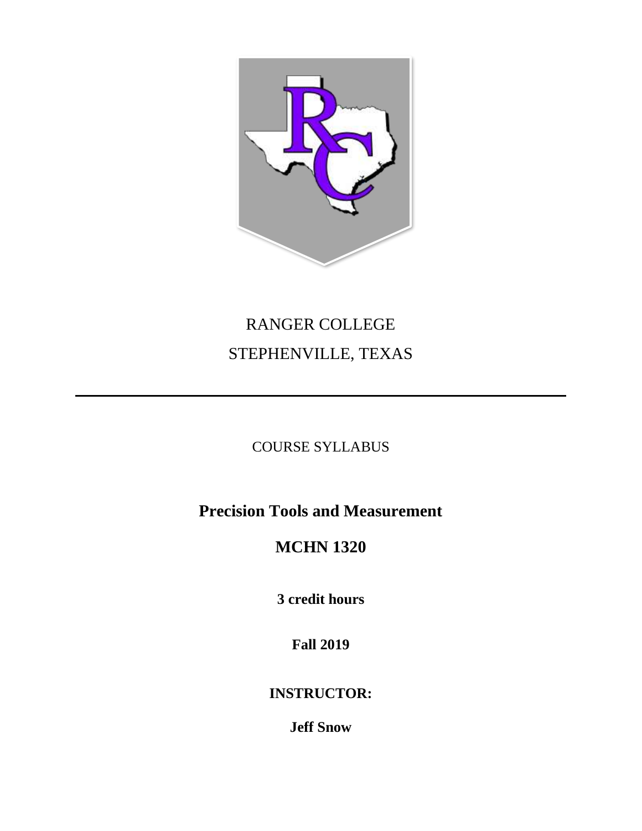

# RANGER COLLEGE STEPHENVILLE, TEXAS

# COURSE SYLLABUS

# **Precision Tools and Measurement**

# **MCHN 1320**

**3 credit hours**

**Fall 2019**

**INSTRUCTOR:**

**Jeff Snow**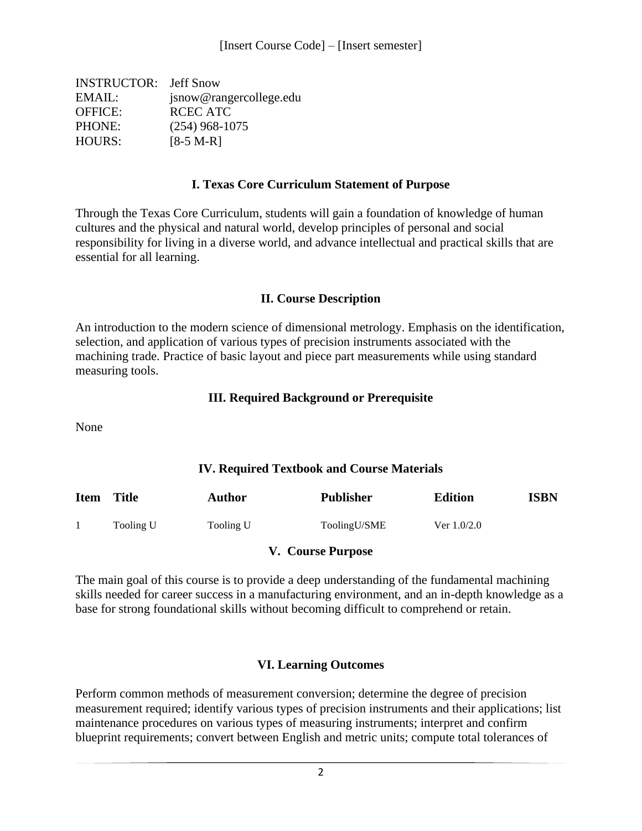| <b>INSTRUCTOR:</b> Jeff Snow |
|------------------------------|
| jsnow@rangercollege.edu      |
| RCEC ATC                     |
| $(254)$ 968-1075             |
| $[8-5 M-R]$                  |
|                              |

#### **I. Texas Core Curriculum Statement of Purpose**

Through the Texas Core Curriculum, students will gain a foundation of knowledge of human cultures and the physical and natural world, develop principles of personal and social responsibility for living in a diverse world, and advance intellectual and practical skills that are essential for all learning.

#### **II. Course Description**

An introduction to the modern science of dimensional metrology. Emphasis on the identification, selection, and application of various types of precision instruments associated with the machining trade. Practice of basic layout and piece part measurements while using standard measuring tools.

#### **III. Required Background or Prerequisite**

None

#### **IV. Required Textbook and Course Materials**

| <b>Item</b> | <b>Title</b> | Author    | <b>Publisher</b> | <b>Edition</b> | ISBN |
|-------------|--------------|-----------|------------------|----------------|------|
|             | Tooling U    | Tooling U | ToolingU/SME     | Ver $1.0/2.0$  |      |

#### **V. Course Purpose**

The main goal of this course is to provide a deep understanding of the fundamental machining skills needed for career success in a manufacturing environment, and an in-depth knowledge as a base for strong foundational skills without becoming difficult to comprehend or retain.

#### **VI. Learning Outcomes**

Perform common methods of measurement conversion; determine the degree of precision measurement required; identify various types of precision instruments and their applications; list maintenance procedures on various types of measuring instruments; interpret and confirm blueprint requirements; convert between English and metric units; compute total tolerances of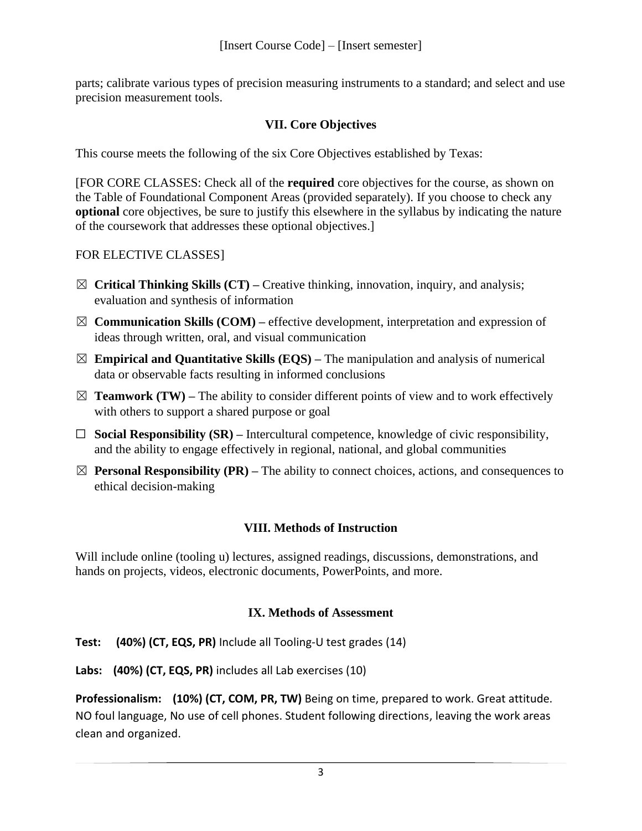parts; calibrate various types of precision measuring instruments to a standard; and select and use precision measurement tools.

# **VII. Core Objectives**

This course meets the following of the six Core Objectives established by Texas:

[FOR CORE CLASSES: Check all of the **required** core objectives for the course, as shown on the Table of Foundational Component Areas (provided separately). If you choose to check any **optional** core objectives, be sure to justify this elsewhere in the syllabus by indicating the nature of the coursework that addresses these optional objectives.]

## FOR ELECTIVE CLASSES]

- ☒ **Critical Thinking Skills (CT) –** Creative thinking, innovation, inquiry, and analysis; evaluation and synthesis of information
- ☒ **Communication Skills (COM) –** effective development, interpretation and expression of ideas through written, oral, and visual communication
- $\boxtimes$  **Empirical and Quantitative Skills (EQS)** The manipulation and analysis of numerical data or observable facts resulting in informed conclusions
- $\boxtimes$  **Teamwork (TW)** The ability to consider different points of view and to work effectively with others to support a shared purpose or goal
- ☐ **Social Responsibility (SR) –** Intercultural competence, knowledge of civic responsibility, and the ability to engage effectively in regional, national, and global communities
- $\boxtimes$  **Personal Responsibility (PR)** The ability to connect choices, actions, and consequences to ethical decision-making

## **VIII. Methods of Instruction**

Will include online (tooling u) lectures, assigned readings, discussions, demonstrations, and hands on projects, videos, electronic documents, PowerPoints, and more.

## **IX. Methods of Assessment**

**Test: (40%) (CT, EQS, PR)** Include all Tooling-U test grades (14)

**Labs: (40%) (CT, EQS, PR)** includes all Lab exercises (10)

**Professionalism: (10%) (CT, COM, PR, TW)** Being on time, prepared to work. Great attitude. NO foul language, No use of cell phones. Student following directions, leaving the work areas clean and organized.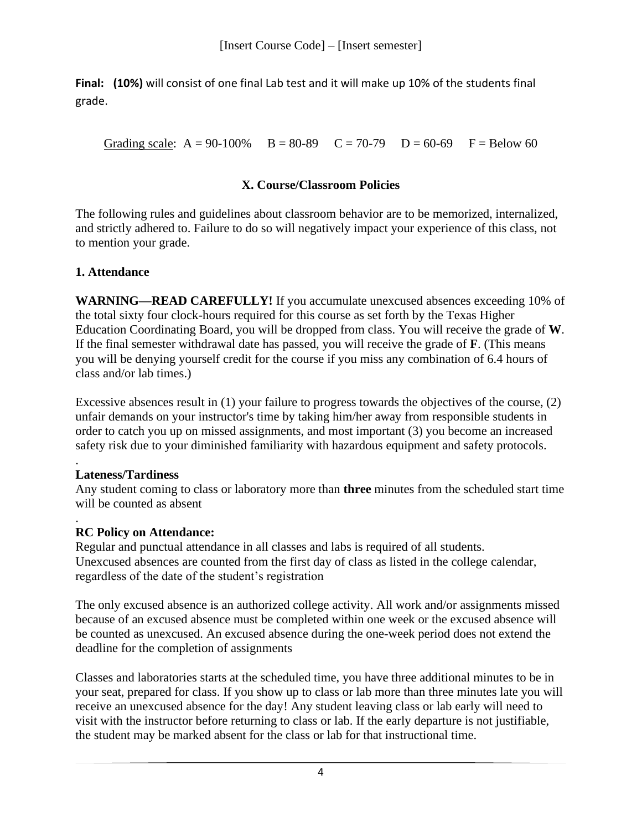**Final: (10%)** will consist of one final Lab test and it will make up 10% of the students final grade.

Grading scale:  $A = 90-100\%$   $B = 80-89$   $C = 70-79$   $D = 60-69$   $F = Below 60$ 

## **X. Course/Classroom Policies**

The following rules and guidelines about classroom behavior are to be memorized, internalized, and strictly adhered to. Failure to do so will negatively impact your experience of this class, not to mention your grade.

#### **1. Attendance**

**WARNING—READ CAREFULLY!** If you accumulate unexcused absences exceeding 10% of the total sixty four clock-hours required for this course as set forth by the Texas Higher Education Coordinating Board, you will be dropped from class. You will receive the grade of **W**. If the final semester withdrawal date has passed, you will receive the grade of **F**. (This means you will be denying yourself credit for the course if you miss any combination of 6.4 hours of class and/or lab times.)

Excessive absences result in (1) your failure to progress towards the objectives of the course, (2) unfair demands on your instructor's time by taking him/her away from responsible students in order to catch you up on missed assignments, and most important (3) you become an increased safety risk due to your diminished familiarity with hazardous equipment and safety protocols.

#### . **Lateness/Tardiness**

Any student coming to class or laboratory more than **three** minutes from the scheduled start time will be counted as absent

#### . **RC Policy on Attendance:**

Regular and punctual attendance in all classes and labs is required of all students. Unexcused absences are counted from the first day of class as listed in the college calendar, regardless of the date of the student's registration

The only excused absence is an authorized college activity. All work and/or assignments missed because of an excused absence must be completed within one week or the excused absence will be counted as unexcused. An excused absence during the one-week period does not extend the deadline for the completion of assignments

Classes and laboratories starts at the scheduled time, you have three additional minutes to be in your seat, prepared for class. If you show up to class or lab more than three minutes late you will receive an unexcused absence for the day! Any student leaving class or lab early will need to visit with the instructor before returning to class or lab. If the early departure is not justifiable, the student may be marked absent for the class or lab for that instructional time.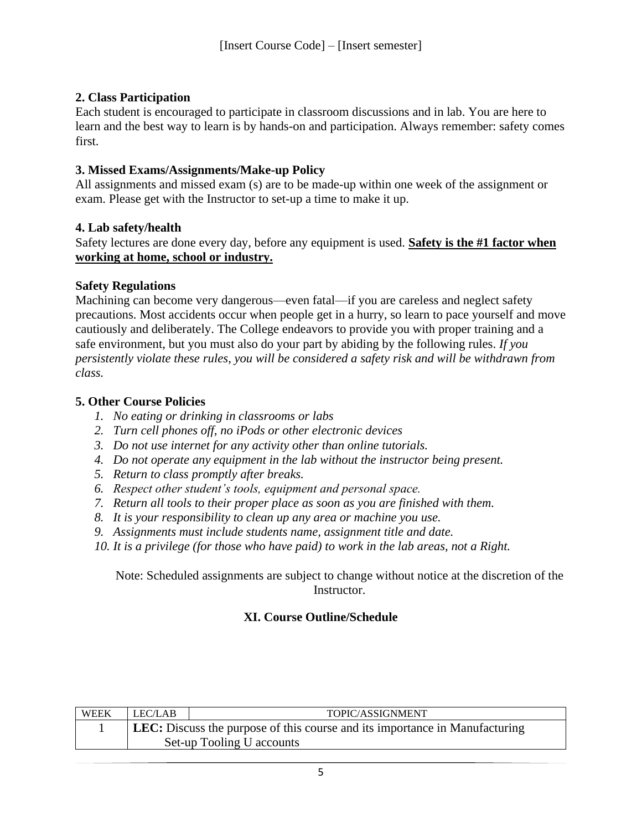# **2. Class Participation**

Each student is encouraged to participate in classroom discussions and in lab. You are here to learn and the best way to learn is by hands-on and participation. Always remember: safety comes first.

## **3. Missed Exams/Assignments/Make-up Policy**

All assignments and missed exam (s) are to be made-up within one week of the assignment or exam. Please get with the Instructor to set-up a time to make it up.

#### **4. Lab safety/health**

Safety lectures are done every day, before any equipment is used. **Safety is the #1 factor when working at home, school or industry.**

#### **Safety Regulations**

Machining can become very dangerous—even fatal—if you are careless and neglect safety precautions. Most accidents occur when people get in a hurry, so learn to pace yourself and move cautiously and deliberately. The College endeavors to provide you with proper training and a safe environment, but you must also do your part by abiding by the following rules. *If you persistently violate these rules, you will be considered a safety risk and will be withdrawn from class.*

#### **5. Other Course Policies**

- *1. No eating or drinking in classrooms or labs*
- *2. Turn cell phones off, no iPods or other electronic devices*
- *3. Do not use internet for any activity other than online tutorials.*
- *4. Do not operate any equipment in the lab without the instructor being present.*
- *5. Return to class promptly after breaks.*
- *6. Respect other student's tools, equipment and personal space.*
- *7. Return all tools to their proper place as soon as you are finished with them.*
- *8. It is your responsibility to clean up any area or machine you use.*
- *9. Assignments must include students name, assignment title and date.*
- *10. It is a privilege (for those who have paid) to work in the lab areas, not a Right.*

Note: Scheduled assignments are subject to change without notice at the discretion of the Instructor.

## **XI. Course Outline/Schedule**

| WEEK | LEC/LAB                                                                            | TOPIC/ASSIGNMENT          |  |  |
|------|------------------------------------------------------------------------------------|---------------------------|--|--|
|      | <b>LEC:</b> Discuss the purpose of this course and its importance in Manufacturing |                           |  |  |
|      |                                                                                    | Set-up Tooling U accounts |  |  |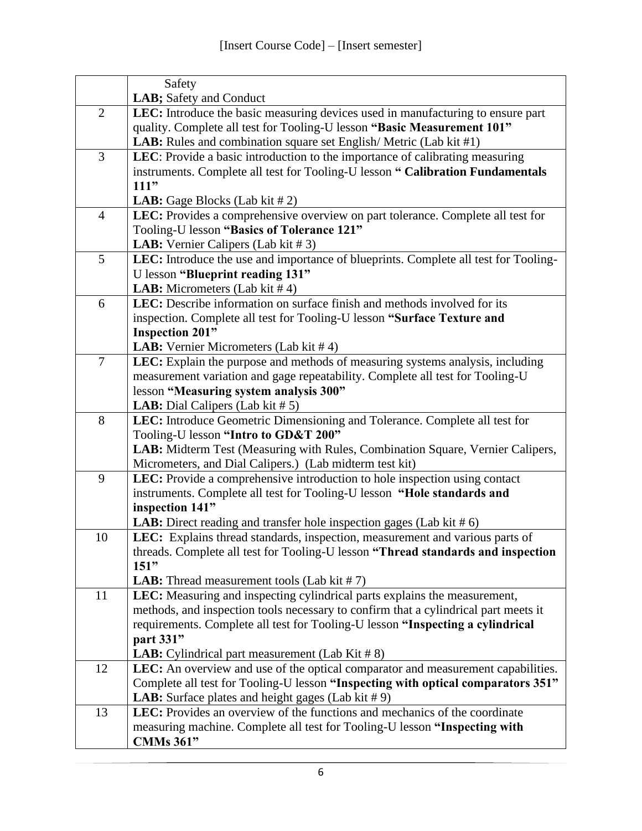|                | Safety                                                                                         |
|----------------|------------------------------------------------------------------------------------------------|
|                | LAB; Safety and Conduct                                                                        |
| $\overline{2}$ | LEC: Introduce the basic measuring devices used in manufacturing to ensure part                |
|                | quality. Complete all test for Tooling-U lesson "Basic Measurement 101"                        |
|                | LAB: Rules and combination square set English/Metric (Lab kit #1)                              |
| 3              | LEC: Provide a basic introduction to the importance of calibrating measuring                   |
|                | instruments. Complete all test for Tooling-U lesson " Calibration Fundamentals                 |
|                | 111"                                                                                           |
|                | <b>LAB:</b> Gage Blocks (Lab kit $# 2$ )                                                       |
| $\overline{4}$ | LEC: Provides a comprehensive overview on part tolerance. Complete all test for                |
|                | Tooling-U lesson "Basics of Tolerance 121"                                                     |
|                | <b>LAB:</b> Vernier Calipers (Lab kit $# 3$ )                                                  |
| 5              | LEC: Introduce the use and importance of blueprints. Complete all test for Tooling-            |
|                | U lesson "Blueprint reading 131"<br><b>LAB:</b> Micrometers (Lab kit $# 4$ )                   |
| 6              | LEC: Describe information on surface finish and methods involved for its                       |
|                | inspection. Complete all test for Tooling-U lesson "Surface Texture and                        |
|                | <b>Inspection 201"</b>                                                                         |
|                | <b>LAB:</b> Vernier Micrometers (Lab kit $#4$ )                                                |
| 7              | LEC: Explain the purpose and methods of measuring systems analysis, including                  |
|                | measurement variation and gage repeatability. Complete all test for Tooling-U                  |
|                | lesson "Measuring system analysis 300"                                                         |
|                | <b>LAB:</b> Dial Calipers (Lab kit $# 5$ )                                                     |
| 8              | LEC: Introduce Geometric Dimensioning and Tolerance. Complete all test for                     |
|                | Tooling-U lesson "Intro to GD&T 200"                                                           |
|                | LAB: Midterm Test (Measuring with Rules, Combination Square, Vernier Calipers,                 |
|                | Micrometers, and Dial Calipers.) (Lab midterm test kit)                                        |
| 9              | LEC: Provide a comprehensive introduction to hole inspection using contact                     |
|                | instruments. Complete all test for Tooling-U lesson "Hole standards and                        |
|                | inspection 141"                                                                                |
|                | LAB: Direct reading and transfer hole inspection gages (Lab kit # 6)                           |
| 10             | LEC: Explains thread standards, inspection, measurement and various parts of                   |
|                | threads. Complete all test for Tooling-U lesson "Thread standards and inspection<br>151"       |
|                | <b>LAB:</b> Thread measurement tools (Lab kit $# 7$ )                                          |
| 11             | LEC: Measuring and inspecting cylindrical parts explains the measurement,                      |
|                | methods, and inspection tools necessary to confirm that a cylindrical part meets it            |
|                | requirements. Complete all test for Tooling-U lesson "Inspecting a cylindrical                 |
|                | part 331"                                                                                      |
|                | <b>LAB:</b> Cylindrical part measurement (Lab Kit $# 8$ )                                      |
| 12             | LEC: An overview and use of the optical comparator and measurement capabilities.               |
|                | Complete all test for Tooling-U lesson "Inspecting with optical comparators 351"               |
|                | <b>LAB:</b> Surface plates and height gages (Lab kit $# 9$ )                                   |
| 13             | <b>LEC:</b> Provides an overview of the functions and mechanics of the coordinate              |
|                |                                                                                                |
|                | measuring machine. Complete all test for Tooling-U lesson "Inspecting with<br><b>CMMs 361"</b> |